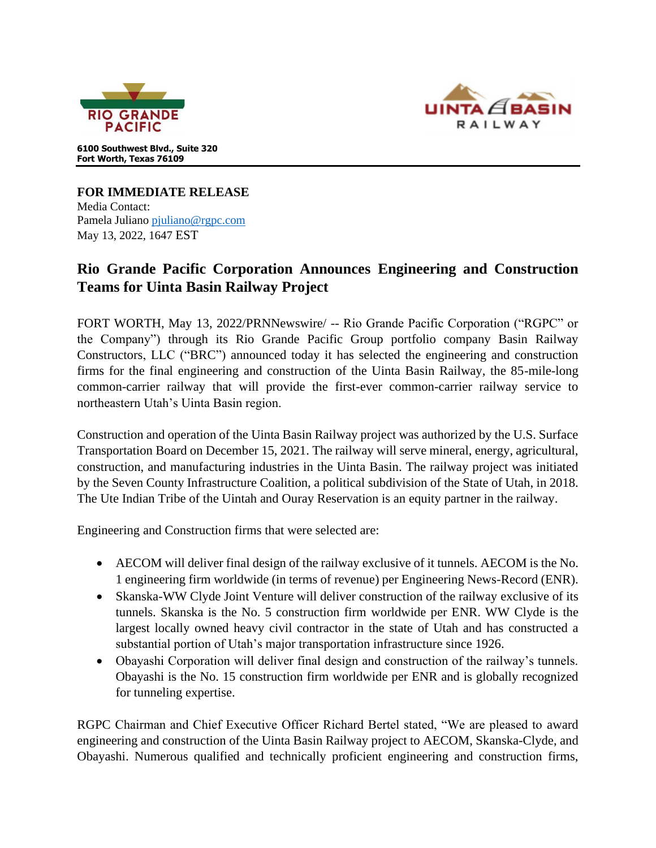



**6100 Southwest Blvd., Suite 320 Fort Worth, Texas 76109**

**FOR IMMEDIATE RELEASE**  Media Contact: Pamela Julian[o pjuliano@rgpc.com](mailto:pjuliano@rgpc.com) May 13, 2022, 1647 EST

## **Rio Grande Pacific Corporation Announces Engineering and Construction Teams for Uinta Basin Railway Project**

FORT WORTH, May 13, 2022/PRNNewswire/ -- Rio Grande Pacific Corporation ("RGPC" or the Company") through its Rio Grande Pacific Group portfolio company Basin Railway Constructors, LLC ("BRC") announced today it has selected the engineering and construction firms for the final engineering and construction of the Uinta Basin Railway, the 85-mile-long common-carrier railway that will provide the first-ever common-carrier railway service to northeastern Utah's Uinta Basin region.

Construction and operation of the Uinta Basin Railway project was authorized by the U.S. Surface Transportation Board on December 15, 2021. The railway will serve mineral, energy, agricultural, construction, and manufacturing industries in the Uinta Basin. The railway project was initiated by the Seven County Infrastructure Coalition, a political subdivision of the State of Utah, in 2018. The Ute Indian Tribe of the Uintah and Ouray Reservation is an equity partner in the railway.

Engineering and Construction firms that were selected are:

- AECOM will deliver final design of the railway exclusive of it tunnels. AECOM is the No. 1 engineering firm worldwide (in terms of revenue) per Engineering News-Record (ENR).
- Skanska-WW Clyde Joint Venture will deliver construction of the railway exclusive of its tunnels. Skanska is the No. 5 construction firm worldwide per ENR. WW Clyde is the largest locally owned heavy civil contractor in the state of Utah and has constructed a substantial portion of Utah's major transportation infrastructure since 1926.
- Obayashi Corporation will deliver final design and construction of the railway's tunnels. Obayashi is the No. 15 construction firm worldwide per ENR and is globally recognized for tunneling expertise.

RGPC Chairman and Chief Executive Officer Richard Bertel stated, "We are pleased to award engineering and construction of the Uinta Basin Railway project to AECOM, Skanska-Clyde, and Obayashi. Numerous qualified and technically proficient engineering and construction firms,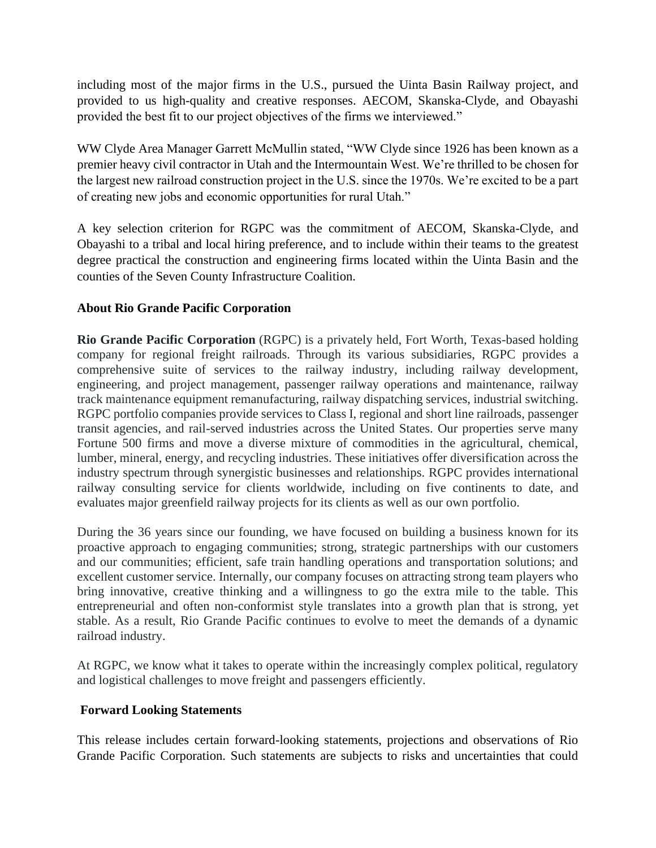including most of the major firms in the U.S., pursued the Uinta Basin Railway project, and provided to us high-quality and creative responses. AECOM, Skanska-Clyde, and Obayashi provided the best fit to our project objectives of the firms we interviewed."

WW Clyde Area Manager Garrett McMullin stated, "WW Clyde since 1926 has been known as a premier heavy civil contractor in Utah and the Intermountain West. We're thrilled to be chosen for the largest new railroad construction project in the U.S. since the 1970s. We're excited to be a part of creating new jobs and economic opportunities for rural Utah."

A key selection criterion for RGPC was the commitment of AECOM, Skanska-Clyde, and Obayashi to a tribal and local hiring preference, and to include within their teams to the greatest degree practical the construction and engineering firms located within the Uinta Basin and the counties of the Seven County Infrastructure Coalition.

## **About Rio Grande Pacific Corporation**

**Rio Grande Pacific Corporation** (RGPC) is a privately held, Fort Worth, Texas-based holding company for regional freight railroads. Through its various subsidiaries, RGPC provides a comprehensive suite of services to the railway industry, including railway development, engineering, and project management, passenger railway operations and maintenance, railway track maintenance equipment remanufacturing, railway dispatching services, industrial switching. RGPC portfolio companies provide services to Class I, regional and short line railroads, passenger transit agencies, and rail-served industries across the United States. Our properties serve many Fortune 500 firms and move a diverse mixture of commodities in the agricultural, chemical, lumber, mineral, energy, and recycling industries. These initiatives offer diversification across the industry spectrum through synergistic businesses and relationships. RGPC provides international railway consulting service for clients worldwide, including on five continents to date, and evaluates major greenfield railway projects for its clients as well as our own portfolio.

During the 36 years since our founding, we have focused on building a business known for its proactive approach to engaging communities; strong, strategic partnerships with our customers and our communities; efficient, safe train handling operations and transportation solutions; and excellent customer service. Internally, our company focuses on attracting strong team players who bring innovative, creative thinking and a willingness to go the extra mile to the table. This entrepreneurial and often non-conformist style translates into a growth plan that is strong, yet stable. As a result, Rio Grande Pacific continues to evolve to meet the demands of a dynamic railroad industry.

At RGPC, we know what it takes to operate within the increasingly complex political, regulatory and logistical challenges to move freight and passengers efficiently.

## **Forward Looking Statements**

This release includes certain forward-looking statements, projections and observations of Rio Grande Pacific Corporation. Such statements are subjects to risks and uncertainties that could